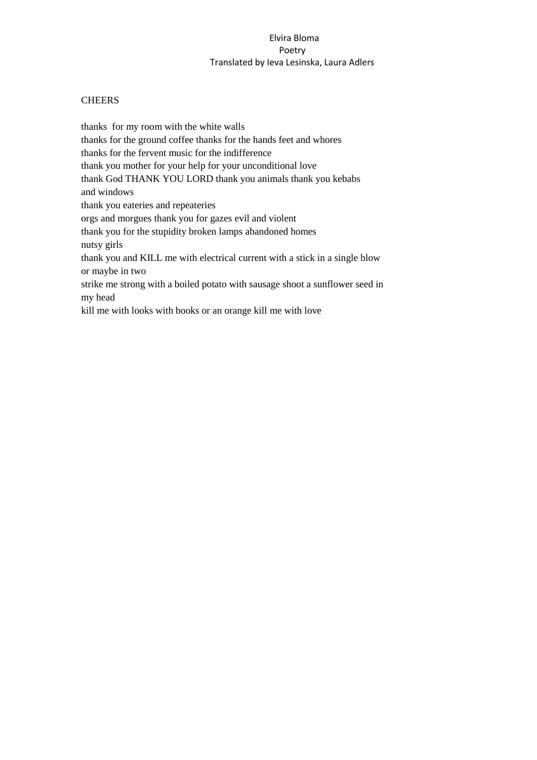# **CHEERS**

thanks for my room with the white walls thanks for the ground coffee thanks for the hands feet and whores thanks for the fervent music for the indifference thank you mother for your help for your unconditional love thank God THANK YOU LORD thank you animals thank you kebabs and windows thank you eateries and repeateries orgs and morgues thank you for gazes evil and violent thank you for the stupidity broken lamps abandoned homes nutsy girls thank you and KILL me with electrical current with a stick in a single blow or maybe in two strike me strong with a boiled potato with sausage shoot a sunflower seed in my head kill me with looks with books or an orange kill me with love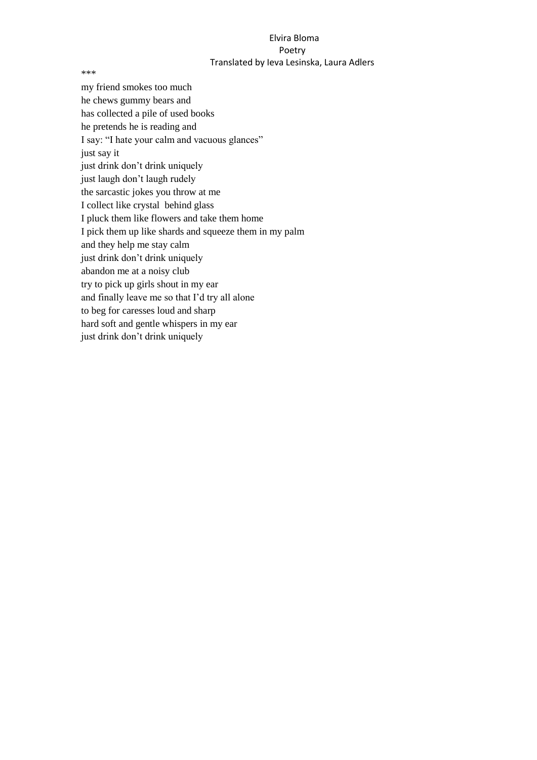\*\*\*

my friend smokes too much he chews gummy bears and has collected a pile of used books he pretends he is reading and I say: "I hate your calm and vacuous glances" just say it just drink don't drink uniquely just laugh don't laugh rudely the sarcastic jokes you throw at me I collect like crystal behind glass I pluck them like flowers and take them home I pick them up like shards and squeeze them in my palm and they help me stay calm just drink don't drink uniquely abandon me at a noisy club try to pick up girls shout in my ear and finally leave me so that I'd try all alone to beg for caresses loud and sharp hard soft and gentle whispers in my ear just drink don't drink uniquely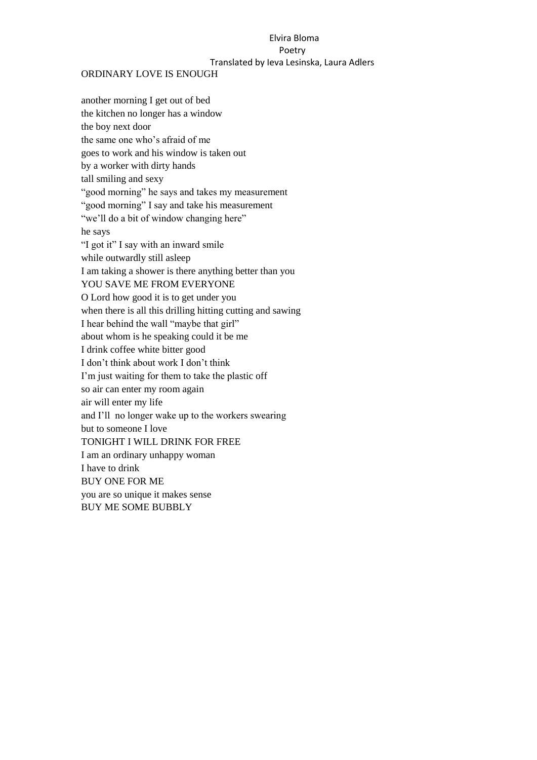#### ORDINARY LOVE IS ENOUGH

another morning I get out of bed the kitchen no longer has a window the boy next door the same one who's afraid of me goes to work and his window is taken out by a worker with dirty hands tall smiling and sexy "good morning" he says and takes my measurement "good morning" I say and take his measurement "we'll do a bit of window changing here" he says "I got it" I say with an inward smile while outwardly still asleep I am taking a shower is there anything better than you YOU SAVE ME FROM EVERYONE O Lord how good it is to get under you when there is all this drilling hitting cutting and sawing I hear behind the wall "maybe that girl" about whom is he speaking could it be me I drink coffee white bitter good I don't think about work I don't think I'm just waiting for them to take the plastic off so air can enter my room again air will enter my life and I'll no longer wake up to the workers swearing but to someone I love TONIGHT I WILL DRINK FOR FREE I am an ordinary unhappy woman I have to drink BUY ONE FOR ME you are so unique it makes sense BUY ME SOME BUBBLY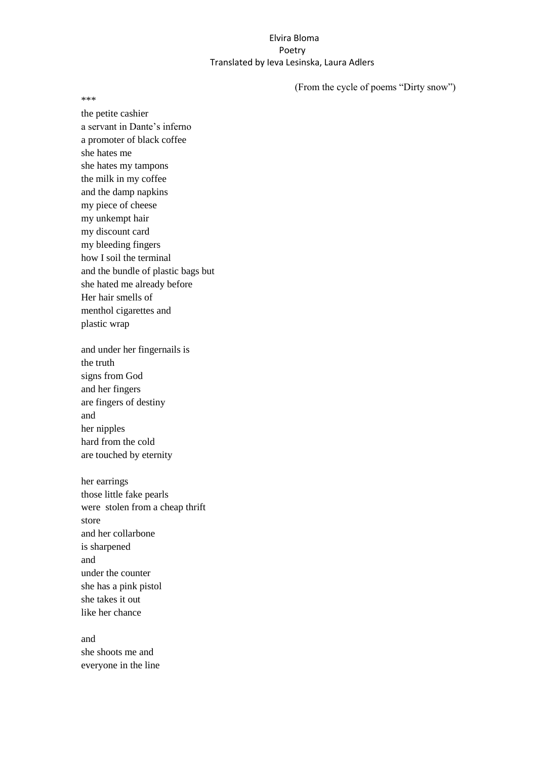(From the cycle of poems "Dirty snow")

\*\*\*

the petite cashier a servant in Dante's inferno a promoter of black coffee she hates me she hates my tampons the milk in my coffee and the damp napkins my piece of cheese my unkempt hair my discount card my bleeding fingers how I soil the terminal and the bundle of plastic bags but she hated me already before Her hair smells of menthol cigarettes and plastic wrap

and under her fingernails is the truth signs from God and her fingers are fingers of destiny and her nipples hard from the cold are touched by eternity

her earrings those little fake pearls were stolen from a cheap thrift store and her collarbone is sharpened and under the counter she has a pink pistol she takes it out like her chance

and she shoots me and everyone in the line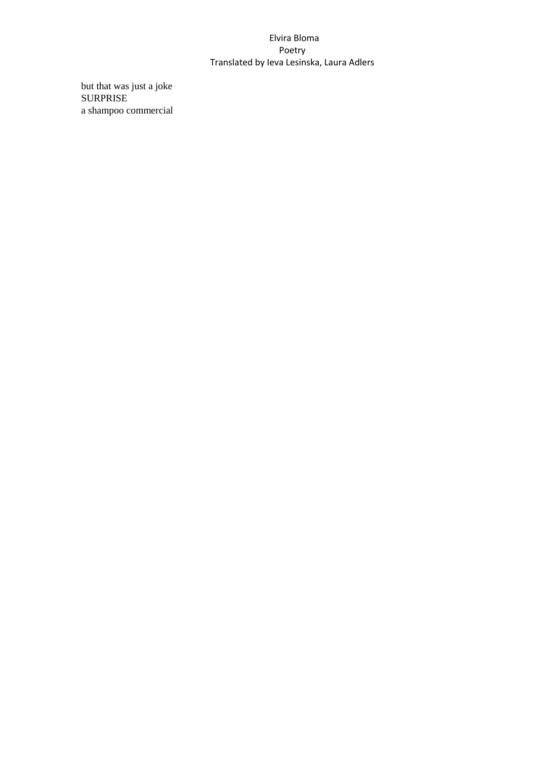but that was just a joke SURPRISE a shampoo commercial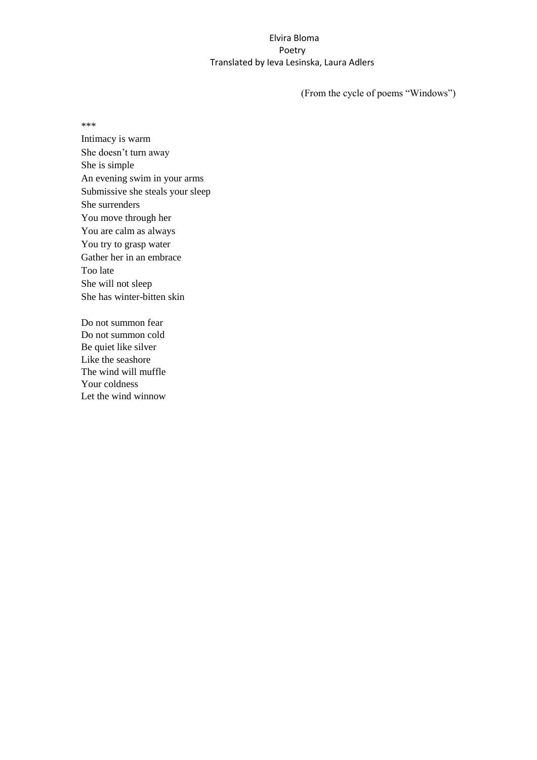(From the cycle of poems "Windows")

\*\*\*

Intimacy is warm She doesn't turn away She is simple An evening swim in your arms Submissive she steals your sleep She surrenders You move through her You are calm as always You try to grasp water Gather her in an embrace Too late She will not sleep She has winter-bitten skin

Do not summon fear Do not summon cold Be quiet like silver Like the seashore The wind will muffle Your coldness Let the wind winnow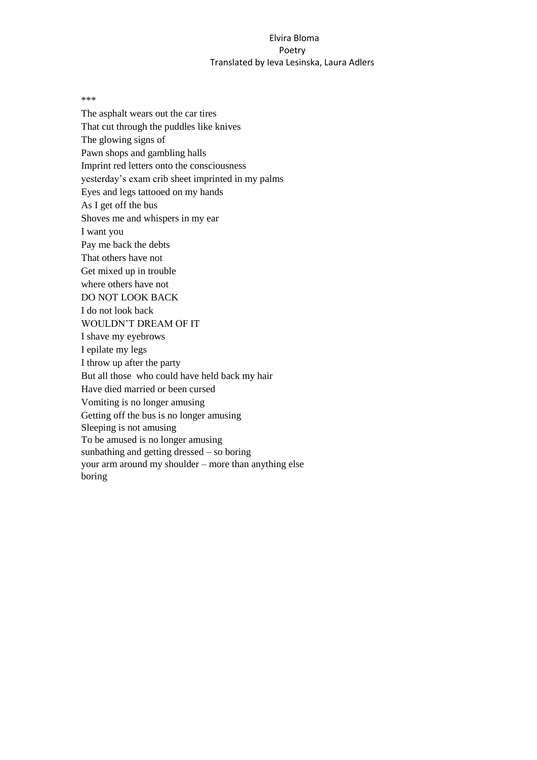\*\*\*

The asphalt wears out the car tires That cut through the puddles like knives The glowing signs of Pawn shops and gambling halls Imprint red letters onto the consciousness yesterday's exam crib sheet imprinted in my palms Eyes and legs tattooed on my hands As I get off the bus Shoves me and whispers in my ear I want you Pay me back the debts That others have not Get mixed up in trouble where others have not DO NOT LOOK BACK I do not look back WOULDN'T DREAM OF IT I shave my eyebrows I epilate my legs I throw up after the party But all those who could have held back my hair Have died married or been cursed Vomiting is no longer amusing Getting off the bus is no longer amusing Sleeping is not amusing To be amused is no longer amusing sunbathing and getting dressed – so boring your arm around my shoulder – more than anything else boring